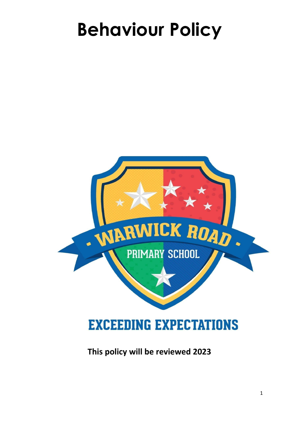# **Behaviour Policy**



### **This policy will be reviewed 2023**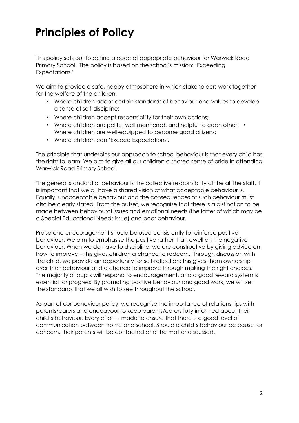# **Principles of Policy**

This policy sets out to define a code of appropriate behaviour for Warwick Road Primary School. The policy is based on the school's mission: 'Exceeding Expectations.'

We aim to provide a safe, happy atmosphere in which stakeholders work together for the welfare of the children:

- Where children adopt certain standards of behaviour and values to develop a sense of self-discipline;
- Where children accept responsibility for their own actions;
- Where children are polite, well mannered, and helpful to each other; Where children are well-equipped to become good citizens;
- Where children can 'Exceed Expectations'.

The principle that underpins our approach to school behaviour is that every child has the right to learn. We aim to give all our children a shared sense of pride in attending Warwick Road Primary School.

The general standard of behaviour is the collective responsibility of the all the staff. It is important that we all have a shared vision of what acceptable behaviour is. Equally, unacceptable behaviour and the consequences of such behaviour must also be clearly stated. From the outset, we recognise that there is a distinction to be made between behavioural issues and emotional needs (the latter of which may be a Special Educational Needs issue) and poor behaviour.

Praise and encouragement should be used consistently to reinforce positive behaviour. We aim to emphasise the positive rather than dwell on the negative behaviour. When we do have to discipline, we are constructive by giving advice on how to improve – this gives children a chance to redeem. Through discussion with the child, we provide an opportunity for self-reflection; this gives them ownership over their behaviour and a chance to improve through making the right choices. The majority of pupils will respond to encouragement, and a good reward system is essential for progress. By promoting positive behaviour and good work, we will set the standards that we all wish to see throughout the school.

As part of our behaviour policy, we recognise the importance of relationships with parents/carers and endeavour to keep parents/carers fully informed about their child's behaviour. Every effort is made to ensure that there is a good level of communication between home and school. Should a child's behaviour be cause for concern, their parents will be contacted and the matter discussed.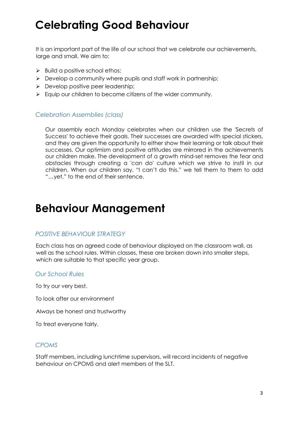# **Celebrating Good Behaviour**

It is an important part of the life of our school that we celebrate our achievements, large and small. We aim to:

- $\triangleright$  Build a positive school ethos;
- $\triangleright$  Develop a community where pupils and staff work in partnership;
- $\triangleright$  Develop positive peer leadership;
- $\triangleright$  Equip our children to become citizens of the wider community.

#### *Celebration Assemblies (class)*

Our assembly each Monday celebrates when our children use the 'Secrets of Success' to achieve their goals. Their successes are awarded with special stickers, and they are given the opportunity to either show their learning or talk about their successes. Our optimism and positive attitudes are mirrored in the achievements our children make. The development of a growth mind-set removes the fear and obstacles through creating a 'can do' culture which we strive to instil in our children. When our children say, "I can't do this." we tell them to them to add "…yet." to the end of their sentence.

### **Behaviour Management**

#### *POSITIVE BEHAVIOUR STRATEGY*

Each class has an agreed code of behaviour displayed on the classroom wall, as well as the school rules. Within classes, these are broken down into smaller steps, which are suitable to that specific year group.

#### *Our School Rules*

To try our very best.

To look after our environment

Always be honest and trustworthy

To treat everyone fairly.

#### *CPOMS*

Staff members, including lunchtime supervisors, will record incidents of negative behaviour on CPOMS and alert members of the SLT.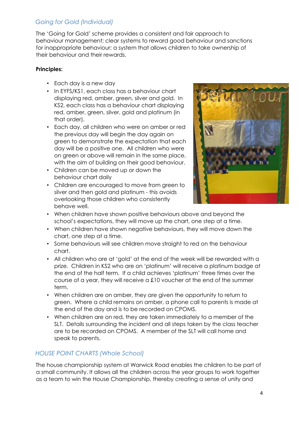#### *Going for Gold (Individual)*

The 'Going for Gold' scheme provides a consistent and fair approach to behaviour management; clear systems to reward good behaviour and sanctions for inappropriate behaviour; a system that allows children to take ownership of their behaviour and their rewards.

#### **Principles:**

- Each day is a new day
- In EYFS/KS1, each class has a behaviour chart displaying red, amber, green, silver and gold. In KS2, each class has a behaviour chart displaying red, amber, green, silver, gold and platinum (in that order).
- Each day, all children who were on amber or red the previous day will begin the day again on green to demonstrate the expectation that each day will be a positive one. All children who were on green or above will remain in the same place, with the aim of building on their good behaviour.
- Children can be moved up or down the behaviour chart daily
- Children are encouraged to move from green to silver and then gold and platinum - this avoids overlooking those children who consistently behave well.



- When children have shown positive behaviours above and beyond the school's expectations, they will move up the chart, one step at a time.
- When children have shown negative behaviours, they will move down the chart, one step at a time.
- Some behaviours will see children move straight to red on the behaviour chart.
- All children who are at 'gold' at the end of the week will be rewarded with a prize. Children in KS2 who are on 'platinum' will receive a platinum badge at the end of the half term. If a child achieves 'platinum' three times over the course of a year, they will receive a £10 voucher at the end of the summer term.
- When children are on amber, they are given the opportunity to return to green. Where a child remains on amber, a phone call to parents is made at the end of the day and is to be recorded on CPOMS.
- When children are on red, they are taken immediately to a member of the SLT. Details surrounding the incident and all steps taken by the class teacher are to be recorded on CPOMS. A member of the SLT will call home and speak to parents.

#### *HOUSE POINT CHARTS (Whole School)*

The house championship system at Warwick Road enables the children to be part of a small community. It allows all the children across the year groups to work together as a team to win the House Championship, thereby creating a sense of unity and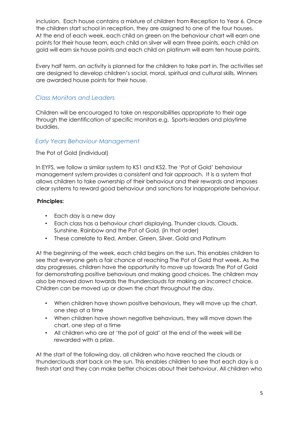inclusion. Each house contains a mixture of children from Reception to Year 6. Once the children start school in reception, they are assigned to one of the four houses. At the end of each week, each child on green on the behaviour chart will earn one points for their house team, each child on silver will earn three points, each child on gold will earn six house points and each child on platinum will earn ten house points.

Every half term, an activity is planned for the children to take part in. The activities set are designed to develop children's social, moral, spiritual and cultural skills. Winners are awarded house points for their house.

#### *Class Monitors and Leaders*

Children will be encouraged to take on responsibilities appropriate to their age through the identification of specific monitors e.g. Sports-leaders and playtime buddies.

#### *Early Years Behaviour Management*

The Pot of Gold (individual)

In EYFS, we follow a similar system to KS1 and KS2. The 'Pot of Gold' behaviour management system provides a consistent and fair approach. It is a system that allows children to take ownership of their behaviour and their rewards and imposes clear systems to reward good behaviour and sanctions for inappropriate behaviour.

#### **Principles:**

- Each day is a new day
- Each class has a behaviour chart displaying, Thunder clouds, Clouds, Sunshine, Rainbow and the Pot of Gold. (in that order)
- These correlate to Red, Amber, Green, Silver, Gold and Platinum

At the beginning of the week, each child begins on the sun. This enables children to see that everyone gets a fair chance at reaching The Pot of Gold that week. As the day progresses, children have the opportunity to move up towards The Pot of Gold for demonstrating positive behaviours and making good choices. The children may also be moved down towards the thunderclouds for making an incorrect choice. Children can be moved up or down the chart throughout the day.

- When children have shown positive behaviours, they will move up the chart, one step at a time
- When children have shown negative behaviours, they will move down the chart, one step at a time
- All children who are at 'the pot of gold' at the end of the week will be rewarded with a prize.

At the start of the following day, all children who have reached the clouds or thunderclouds start back on the sun. This enables children to see that each day is a fresh start and they can make better choices about their behaviour. All children who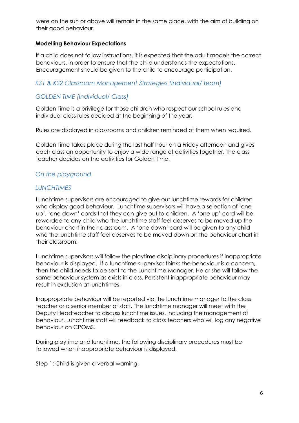were on the sun or above will remain in the same place, with the aim of building on their good behaviour.

#### **Modelling Behaviour Expectations**

If a child does not follow instructions, it is expected that the adult models the correct behaviours, in order to ensure that the child understands the expectations. Encouragement should be given to the child to encourage participation.

#### *KS1 & KS2 Classroom Management Strategies (Individual/ team)*

#### *GOLDEN TIME (Individual/ Class)*

Golden Time is a privilege for those children who respect our school rules and individual class rules decided at the beginning of the year.

Rules are displayed in classrooms and children reminded of them when required.

Golden Time takes place during the last half hour on a Friday afternoon and gives each class an opportunity to enjoy a wide range of activities together. The class teacher decides on the activities for Golden Time.

#### *On the playground*

#### *LUNCHTIMES*

Lunchtime supervisors are encouraged to give out lunchtime rewards for children who display good behaviour. Lunchtime supervisors will have a selection of 'one up', 'one down' cards that they can give out to children. A 'one up' card will be rewarded to any child who the lunchtime staff feel deserves to be moved up the behaviour chart in their classroom. A 'one down' card will be given to any child who the lunchtime staff feel deserves to be moved down on the behaviour chart in their classroom.

Lunchtime supervisors will follow the playtime disciplinary procedures if inappropriate behaviour is displayed. If a lunchtime supervisor thinks the behaviour is a concern, then the child needs to be sent to the Lunchtime Manager. He or she will follow the same behaviour system as exists in class. Persistent inappropriate behaviour may result in exclusion at lunchtimes.

Inappropriate behaviour will be reported via the lunchtime manager to the class teacher or a senior member of staff. The lunchtime manager will meet with the Deputy Headteacher to discuss lunchtime issues, including the management of behaviour. Lunchtime staff will feedback to class teachers who will log any negative behaviour on CPOMS.

During playtime and lunchtime, the following disciplinary procedures must be followed when inappropriate behaviour is displayed.

Step 1: Child is given a verbal warning.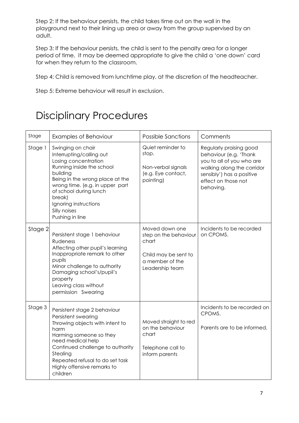Step 2: If the behaviour persists, the child takes time out on the wall in the playground next to their lining up area or away from the group supervised by an adult.

Step 3: If the behaviour persists, the child is sent to the penalty area for a longer period of time. It may be deemed appropriate to give the child a 'one down' card for when they return to the classroom.

Step 4: Child is removed from lunchtime play, at the discretion of the headteacher.

Step 5: Extreme behaviour will result in exclusion.

## Disciplinary Procedures

| Stage   | Examples of Behaviour                                                                                                                                                                                                                                                                | <b>Possible Sanctions</b>                                                                                      | Comments                                                                                                                                                                      |
|---------|--------------------------------------------------------------------------------------------------------------------------------------------------------------------------------------------------------------------------------------------------------------------------------------|----------------------------------------------------------------------------------------------------------------|-------------------------------------------------------------------------------------------------------------------------------------------------------------------------------|
| Stage 1 | Swinging on chair<br>Interrupting/calling out<br>Losing concentration<br>Running inside the school<br>building<br>Being in the wrong place at the<br>wrong time. (e.g. in upper part<br>of school during lunch<br>break)<br>Ignoring instructions<br>Silly noises<br>Pushing in line | Quiet reminder to<br>stop.<br>Non-verbal signals<br>(e.g. Eye contact,<br>pointing)                            | Regularly praising good<br>behaviour (e.g. 'Thank<br>you to all of you who are<br>walking along the corridor<br>sensibly') has a positive<br>effect on those not<br>behaving. |
| Stage 2 | Persistent stage 1 behaviour<br>Rudeness<br>Affecting other pupil's learning<br>Inappropriate remark to other<br>pupils<br>Minor challenge to authority<br>Damaging school's/pupil's<br>property<br>Leaving class without<br>permission Swearing                                     | Moved down one<br>step on the behaviour<br>chart<br>Child may be sent to<br>a member of the<br>Leadership team | Incidents to be recorded<br>on CPOMS.                                                                                                                                         |
| Stage 3 | Persistent stage 2 behaviour<br>Persistent swearing<br>Throwing objects with intent to<br>harm<br>Harming someone so they<br>need medical help<br>Continued challenge to authority<br>Stealing<br>Repeated refusal to do set task<br>Highly offensive remarks to<br>children         | Moved straight to red<br>on the behaviour<br>chart<br>Telephone call to<br>inform parents                      | Incidents to be recorded on<br>CPOMS.<br>Parents are to be informed.                                                                                                          |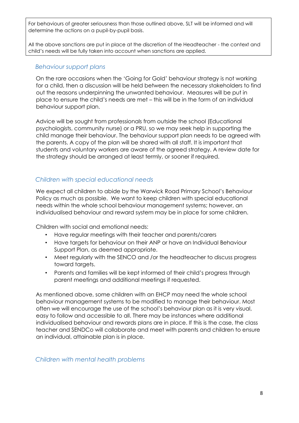For behaviours of greater seriousness than those outlined above, SLT will be informed and will determine the actions on a pupil-by-pupil basis.

All the above sanctions are put in place at the discretion of the Headteacher - the context and child's needs will be fully taken into account when sanctions are applied.

#### *Behaviour support plans*

On the rare occasions when the 'Going for Gold' behaviour strategy is not working for a child, then a discussion will be held between the necessary stakeholders to find out the reasons underpinning the unwanted behaviour. Measures will be put in place to ensure the child's needs are met – this will be in the form of an individual behaviour support plan.

Advice will be sought from professionals from outside the school (Educational psychologists, community nurse) or a PRU, so we may seek help in supporting the child manage their behaviour. The behaviour support plan needs to be agreed with the parents. A copy of the plan will be shared with all staff. It is important that students and voluntary workers are aware of the agreed strategy. A review date for the strategy should be arranged at least termly, or sooner if required.

#### *Children with special educational needs*

We expect all children to abide by the Warwick Road Primary School's Behaviour Policy as much as possible. We want to keep children with special educational needs within the whole school behaviour management systems; however, an individualised behaviour and reward system may be in place for some children.

Children with social and emotional needs:

- Have regular meetings with their teacher and parents/carers
- Have targets for behaviour on their ANP or have an Individual Behaviour Support Plan, as deemed appropriate.
- Meet regularly with the SENCO and /or the headteacher to discuss progress toward targets.
- Parents and families will be kept informed of their child's progress through parent meetings and additional meetings if requested.

As mentioned above, some children with an EHCP may need the whole school behaviour management systems to be modified to manage their behaviour. Most often we will encourage the use of the school's behaviour plan as it is very visual, easy to follow and accessible to all. There may be instances where additional individualised behaviour and rewards plans are in place. If this is the case, the class teacher and SENDCo will collaborate and meet with parents and children to ensure an individual, attainable plan is in place.

*Children with mental health problems*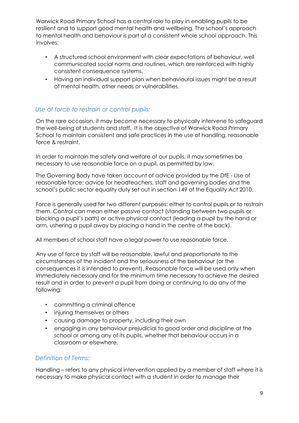Warwick Road Primary School has a central role to play in enabling pupils to be resilient and to support good mental health and wellbeing. The school's approach to mental health and behaviour is part of a consistent whole school approach. This involves:

- A structured school environment with clear expectations of behaviour, well communicated social norms and routines, which are reinforced with highly consistent consequence systems.
- Having an individual support plan when behavioural issues might be a result of mental health, other needs or vulnerabilities.

#### *Use of force to restrain or control pupils:*

On the rare occasion, it may become necessary to physically intervene to safeguard the well-being of students and staff. It is the objective of Warwick Road Primary School to maintain consistent and safe practices in the use of handling, reasonable force & restraint.

In order to maintain the safety and welfare of our pupils, it may sometimes be necessary to use reasonable force on a pupil, as permitted by law.

The Governing Body have taken account of advice provided by the DfE - Use of reasonable force: advice for headteachers, staff and governing bodies and the school's public sector equality duty set out in section 149 of the Equality Act 2010.

Force is generally used for two different purposes: either to control pupils or to restrain them. Control can mean either passive contact (standing between two pupils or blocking a pupil's path) or active physical contact (leading a pupil by the hand or arm, ushering a pupil away by placing a hand in the centre of the back).

All members of school staff have a legal power to use reasonable force.

Any use of force by staff will be reasonable, lawful and proportionate to the circumstances of the incident and the seriousness of the behaviour (or the consequences it is intended to prevent). Reasonable force will be used only when immediately necessary and for the minimum time necessary to achieve the desired result and in order to prevent a pupil from doing or continuing to do any of the following:

- committing a criminal offence
- injuring themselves or others
- causing damage to property, including their own
- engaging in any behaviour prejudicial to good order and discipline at the school or among any of its pupils, whether that behaviour occurs in a classroom or elsewhere.

#### *Definition of Terms:*

Handling – refers to any physical intervention applied by a member of staff where it is necessary to make physical contact with a student in order to manage their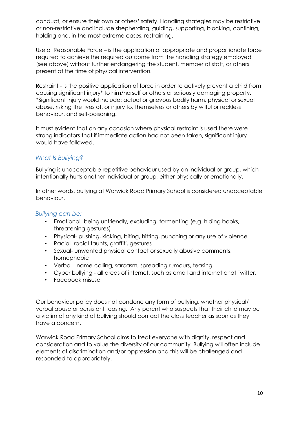conduct, or ensure their own or others' safety. Handling strategies may be restrictive or non-restrictive and include shepherding, guiding, supporting, blocking, confining, holding and, in the most extreme cases, restraining.

Use of Reasonable Force – is the application of appropriate and proportionate force required to achieve the required outcome from the handling strategy employed (see above) without further endangering the student, member of staff, or others present at the time of physical intervention.

Restraint - is the positive application of force in order to actively prevent a child from causing significant injury\* to him/herself or others or seriously damaging property. \*Significant injury would include: actual or grievous bodily harm, physical or sexual abuse, risking the lives of, or injury to, themselves or others by wilful or reckless behaviour, and self-poisoning.

It must evident that on any occasion where physical restraint is used there were strong indicators that if immediate action had not been taken, significant injury would have followed.

#### *What Is Bullying?*

Bullying is unacceptable repetitive behaviour used by an individual or group, which intentionally hurts another individual or group, either physically or emotionally.

In other words, bullying at Warwick Road Primary School is considered unacceptable behaviour.

#### *Bullying can be:*

- Emotional- being unfriendly, excluding, tormenting (e.g. hiding books, threatening gestures)
- Physical- pushing, kicking, biting, hitting, punching or any use of violence
- Racial- racial taunts, graffiti, gestures
- Sexual- unwanted physical contact or sexually abusive comments, homophobic
- Verbal name-calling, sarcasm, spreading rumours, teasing
- Cyber bullying all areas of internet, such as email and internet chat Twitter,
- Facebook misuse

Our behaviour policy does not condone any form of bullying, whether physical/ verbal abuse or persistent teasing. Any parent who suspects that their child may be a victim of any kind of bullying should contact the class teacher as soon as they have a concern.

Warwick Road Primary School aims to treat everyone with dignity, respect and consideration and to value the diversity of our community. Bullying will often include elements of discrimination and/or oppression and this will be challenged and responded to appropriately.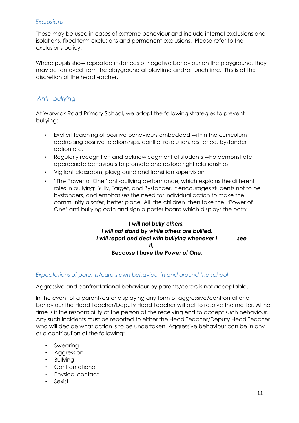#### *Exclusions*

These may be used in cases of extreme behaviour and include internal exclusions and isolations, fixed term exclusions and permanent exclusions. Please refer to the exclusions policy.

Where pupils show repeated instances of negative behaviour on the playground, they may be removed from the playground at playtime and/or lunchtime. This is at the discretion of the headteacher.

#### *Anti –bullying*

At Warwick Road Primary School, we adopt the following strategies to prevent bullying:

- Explicit teaching of positive behaviours embedded within the curriculum addressing positive relationships, conflict resolution, resilience, bystander action etc.
- Regularly recognition and acknowledgment of students who demonstrate appropriate behaviours to promote and restore right relationships
- Vigilant classroom, playground and transition supervision
- "The Power of One" anti-bullying performance, which explains the different roles in bullying: Bully, Target, and Bystander. It encourages students not to be bystanders, and emphasises the need for individual action to make the community a safer, better place. All the children then take the 'Power of One' anti-bullying oath and sign a poster board which displays the oath:

#### *I will not bully others, I will not stand by while others are bullied, I will report and deal with bullying whenever I see it, Because I have the Power of One.*

#### *Expectations of parents/carers own behaviour in and around the school*

Aggressive and confrontational behaviour by parents/carers is not acceptable.

In the event of a parent/carer displaying any form of aggressive/confrontational behaviour the Head Teacher/Deputy Head Teacher will act to resolve the matter. At no time is it the responsibility of the person at the receiving end to accept such behaviour. Any such incidents must be reported to either the Head Teacher/Deputy Head Teacher who will decide what action is to be undertaken. Aggressive behaviour can be in any or a contribution of the following:-

- Swearing
- Aggression
- Bullying
- Confrontational
- Physical contact
- Sexist